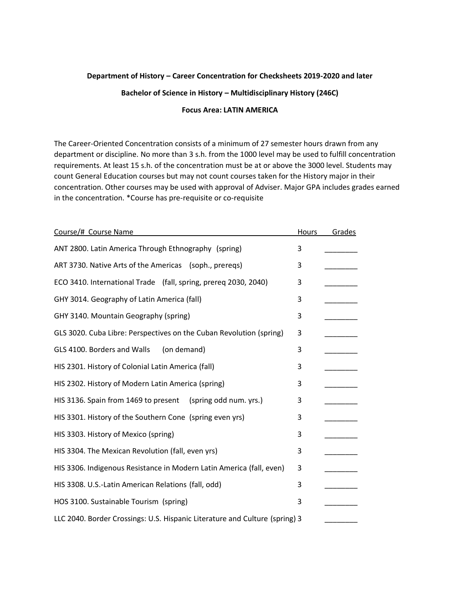## **Department of History – Career Concentration for Checksheets 2019-2020 and later**

## **Bachelor of Science in History – Multidisciplinary History (246C)**

## **Focus Area: LATIN AMERICA**

The Career-Oriented Concentration consists of a minimum of 27 semester hours drawn from any department or discipline. No more than 3 s.h. from the 1000 level may be used to fulfill concentration requirements. At least 15 s.h. of the concentration must be at or above the 3000 level. Students may count General Education courses but may not count courses taken for the History major in their concentration. Other courses may be used with approval of Adviser. Major GPA includes grades earned in the concentration. \*Course has pre-requisite or co-requisite

| Course/# Course Name                                                        | Hours | Grades |
|-----------------------------------------------------------------------------|-------|--------|
| ANT 2800. Latin America Through Ethnography (spring)                        | 3     |        |
| ART 3730. Native Arts of the Americas (soph., preregs)                      | 3     |        |
| ECO 3410. International Trade (fall, spring, prereq 2030, 2040)             | 3     |        |
| GHY 3014. Geography of Latin America (fall)                                 | 3     |        |
| GHY 3140. Mountain Geography (spring)                                       | 3     |        |
| GLS 3020. Cuba Libre: Perspectives on the Cuban Revolution (spring)         | 3     |        |
| GLS 4100. Borders and Walls<br>(on demand)                                  | 3     |        |
| HIS 2301. History of Colonial Latin America (fall)                          | 3     |        |
| HIS 2302. History of Modern Latin America (spring)                          | 3     |        |
| HIS 3136. Spain from 1469 to present (spring odd num. yrs.)                 | 3     |        |
| HIS 3301. History of the Southern Cone (spring even yrs)                    | 3     |        |
| HIS 3303. History of Mexico (spring)                                        | 3     |        |
| HIS 3304. The Mexican Revolution (fall, even yrs)                           | 3     |        |
| HIS 3306. Indigenous Resistance in Modern Latin America (fall, even)        | 3     |        |
| HIS 3308. U.S.-Latin American Relations (fall, odd)                         | 3     |        |
| HOS 3100. Sustainable Tourism (spring)                                      | 3     |        |
| LLC 2040. Border Crossings: U.S. Hispanic Literature and Culture (spring) 3 |       |        |